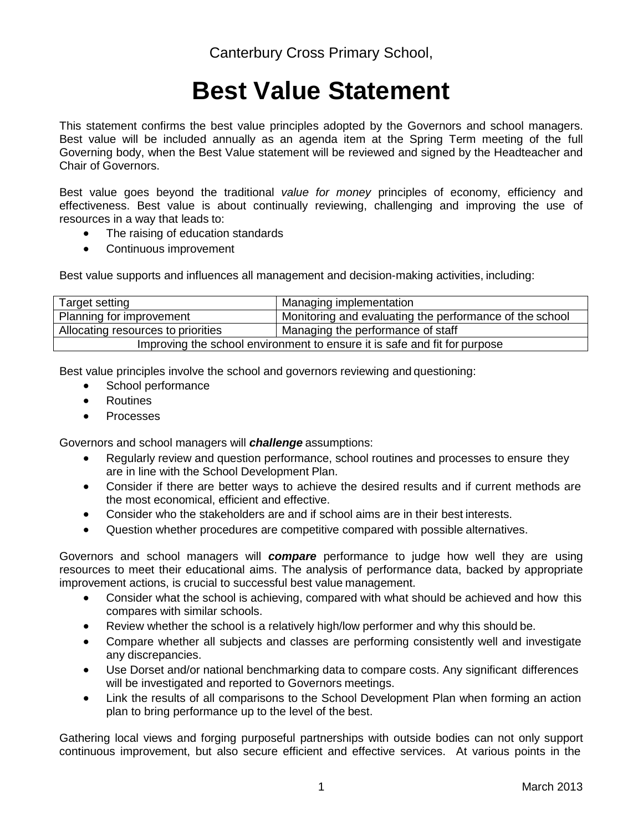## **Best Value Statement**

This statement confirms the best value principles adopted by the Governors and school managers. Best value will be included annually as an agenda item at the Spring Term meeting of the full Governing body, when the Best Value statement will be reviewed and signed by the Headteacher and Chair of Governors.

Best value goes beyond the traditional *value for money* principles of economy, efficiency and effectiveness. Best value is about continually reviewing, challenging and improving the use of resources in a way that leads to:

- The raising of education standards
- Continuous improvement

Best value supports and influences all management and decision-making activities, including:

| Target setting                                                            | Managing implementation                                 |  |  |  |
|---------------------------------------------------------------------------|---------------------------------------------------------|--|--|--|
| Planning for improvement                                                  | Monitoring and evaluating the performance of the school |  |  |  |
| Allocating resources to priorities                                        | Managing the performance of staff                       |  |  |  |
| Improving the school environment to ensure it is safe and fit for purpose |                                                         |  |  |  |

Best value principles involve the school and governors reviewing and questioning:

- School performance
- Routines
- Processes

Governors and school managers will *challenge* assumptions:

- Regularly review and question performance, school routines and processes to ensure they are in line with the School Development Plan.
- Consider if there are better ways to achieve the desired results and if current methods are the most economical, efficient and effective.
- Consider who the stakeholders are and if school aims are in their best interests.
- Question whether procedures are competitive compared with possible alternatives.

Governors and school managers will *compare* performance to judge how well they are using resources to meet their educational aims. The analysis of performance data, backed by appropriate improvement actions, is crucial to successful best value management.

- Consider what the school is achieving, compared with what should be achieved and how this compares with similar schools.
- Review whether the school is a relatively high/low performer and why this should be.
- Compare whether all subjects and classes are performing consistently well and investigate any discrepancies.
- Use Dorset and/or national benchmarking data to compare costs. Any significant differences will be investigated and reported to Governors meetings.
- Link the results of all comparisons to the School Development Plan when forming an action plan to bring performance up to the level of the best.

Gathering local views and forging purposeful partnerships with outside bodies can not only support continuous improvement, but also secure efficient and effective services. At various points in the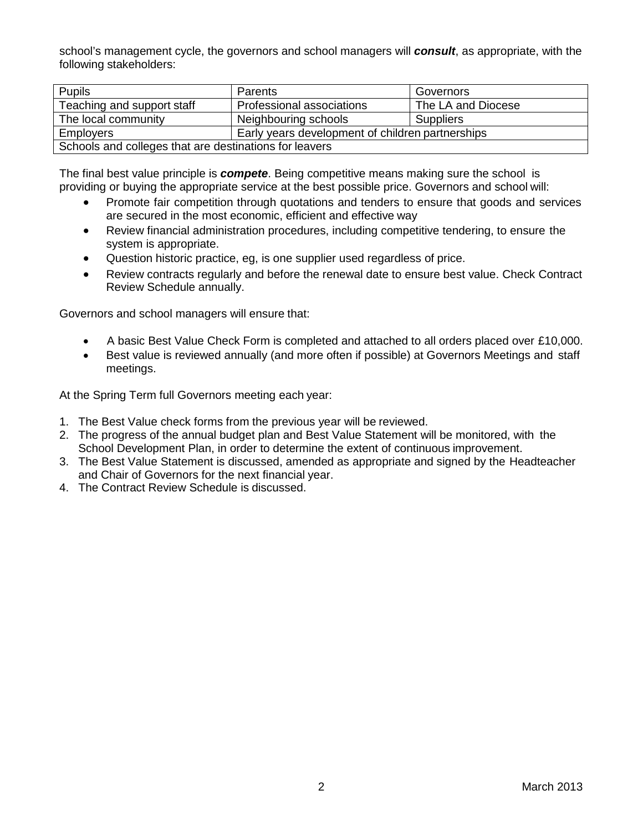school's management cycle, the governors and school managers will *consult*, as appropriate, with the following stakeholders:

| <b>Pupils</b>                                          | Parents                                          | Governors          |  |  |  |
|--------------------------------------------------------|--------------------------------------------------|--------------------|--|--|--|
| Teaching and support staff                             | Professional associations                        | The LA and Diocese |  |  |  |
| The local community                                    | Neighbouring schools                             | <b>Suppliers</b>   |  |  |  |
| <b>Employers</b>                                       | Early years development of children partnerships |                    |  |  |  |
| Schools and colleges that are destinations for leavers |                                                  |                    |  |  |  |

The final best value principle is *compete*. Being competitive means making sure the school is providing or buying the appropriate service at the best possible price. Governors and school will:

- Promote fair competition through quotations and tenders to ensure that goods and services are secured in the most economic, efficient and effective way
- Review financial administration procedures, including competitive tendering, to ensure the system is appropriate.
- Question historic practice, eg, is one supplier used regardless of price.
- Review contracts regularly and before the renewal date to ensure best value. Check Contract Review Schedule annually.

Governors and school managers will ensure that:

- A basic Best Value Check Form is completed and attached to all orders placed over £10,000.
- Best value is reviewed annually (and more often if possible) at Governors Meetings and staff meetings.

At the Spring Term full Governors meeting each year:

- 1. The Best Value check forms from the previous year will be reviewed.
- 2. The progress of the annual budget plan and Best Value Statement will be monitored, with the School Development Plan, in order to determine the extent of continuous improvement.
- 3. The Best Value Statement is discussed, amended as appropriate and signed by the Headteacher and Chair of Governors for the next financial year.
- 4. The Contract Review Schedule is discussed.